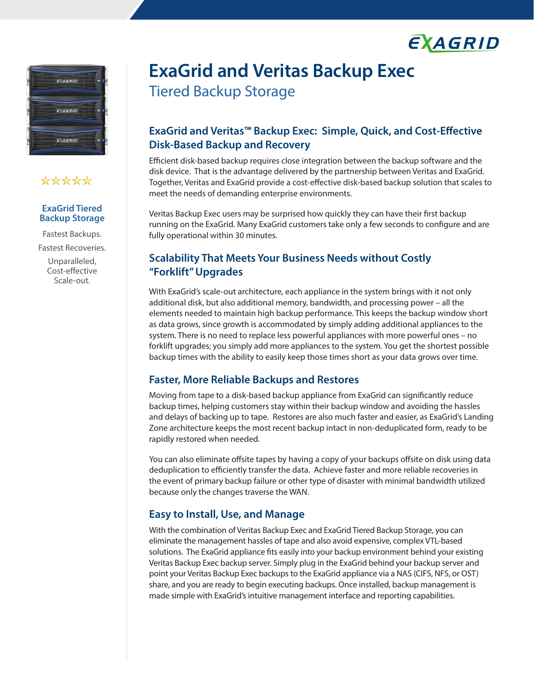



# \*\*\*\*\*

#### **ExaGrid Tiered Backup Storage**

Fastest Backups. Fastest Recoveries. Unparalleled, Cost-effective

Scale-out.

# **ExaGrid and Veritas Backup Exec** Tiered Backup Storage

## **ExaGrid and Veritas™ Backup Exec: Simple, Quick, and Cost-Effective Disk-Based Backup and Recovery**

Efficient disk-based backup requires close integration between the backup software and the disk device. That is the advantage delivered by the partnership between Veritas and ExaGrid. Together, Veritas and ExaGrid provide a cost-effective disk-based backup solution that scales to meet the needs of demanding enterprise environments.

Veritas Backup Exec users may be surprised how quickly they can have their first backup running on the ExaGrid. Many ExaGrid customers take only a few seconds to configure and are fully operational within 30 minutes.

## **Scalability That Meets Your Business Needs without Costly "Forklift" Upgrades**

With ExaGrid's scale-out architecture, each appliance in the system brings with it not only additional disk, but also additional memory, bandwidth, and processing power – all the elements needed to maintain high backup performance. This keeps the backup window short as data grows, since growth is accommodated by simply adding additional appliances to the system. There is no need to replace less powerful appliances with more powerful ones – no forklift upgrades; you simply add more appliances to the system. You get the shortest possible backup times with the ability to easily keep those times short as your data grows over time.

## **Faster, More Reliable Backups and Restores**

Moving from tape to a disk-based backup appliance from ExaGrid can significantly reduce backup times, helping customers stay within their backup window and avoiding the hassles and delays of backing up to tape. Restores are also much faster and easier, as ExaGrid's Landing Zone architecture keeps the most recent backup intact in non-deduplicated form, ready to be rapidly restored when needed.

You can also eliminate offsite tapes by having a copy of your backups offsite on disk using data deduplication to efficiently transfer the data. Achieve faster and more reliable recoveries in the event of primary backup failure or other type of disaster with minimal bandwidth utilized because only the changes traverse the WAN.

# **Easy to Install, Use, and Manage**

With the combination of Veritas Backup Exec and ExaGrid Tiered Backup Storage, you can eliminate the management hassles of tape and also avoid expensive, complex VTL-based solutions. The ExaGrid appliance fits easily into your backup environment behind your existing Veritas Backup Exec backup server. Simply plug in the ExaGrid behind your backup server and point your Veritas Backup Exec backups to the ExaGrid appliance via a NAS (CIFS, NFS, or OST) share, and you are ready to begin executing backups. Once installed, backup management is made simple with ExaGrid's intuitive management interface and reporting capabilities.